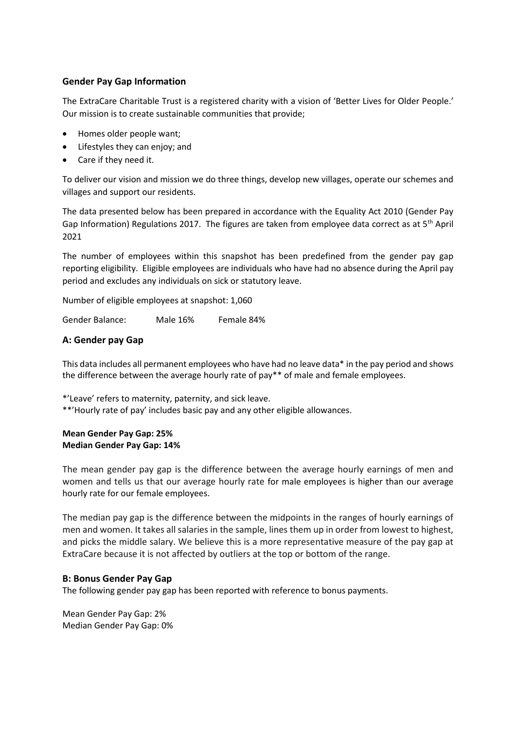## **Gender Pay Gap Information**

The ExtraCare Charitable Trust is a registered charity with a vision of 'Better Lives for Older People.' Our mission is to create sustainable communities that provide;

- Homes older people want;
- Lifestyles they can enjoy; and
- Care if they need it.

To deliver our vision and mission we do three things, develop new villages, operate our schemes and villages and support our residents.

The data presented below has been prepared in accordance with the Equality Act 2010 (Gender Pay Gap Information) Regulations 2017. The figures are taken from employee data correct as at  $5<sup>th</sup>$  April 2021

The number of employees within this snapshot has been predefined from the gender pay gap reporting eligibility. Eligible employees are individuals who have had no absence during the April pay period and excludes any individuals on sick or statutory leave.

Number of eligible employees at snapshot: 1,060

Gender Balance: Male 16% Female 84%

## **A: Gender pay Gap**

This data includes all permanent employees who have had no leave data\* in the pay period and shows the difference between the average hourly rate of pay\*\* of male and female employees.

\*'Leave' refers to maternity, paternity, and sick leave. \*\*'Hourly rate of pay' includes basic pay and any other eligible allowances.

## **Mean Gender Pay Gap: 25% Median Gender Pay Gap: 14%**

The mean gender pay gap is the difference between the average hourly earnings of men and women and tells us that our average hourly rate for male employees is higher than our average hourly rate for our female employees.

The median pay gap is the difference between the midpoints in the ranges of hourly earnings of men and women. It takes all salaries in the sample, lines them up in order from lowest to highest, and picks the middle salary. We believe this is a more representative measure of the pay gap at ExtraCare because it is not affected by outliers at the top or bottom of the range.

#### **B: Bonus Gender Pay Gap**

The following gender pay gap has been reported with reference to bonus payments.

Mean Gender Pay Gap: 2% Median Gender Pay Gap: 0%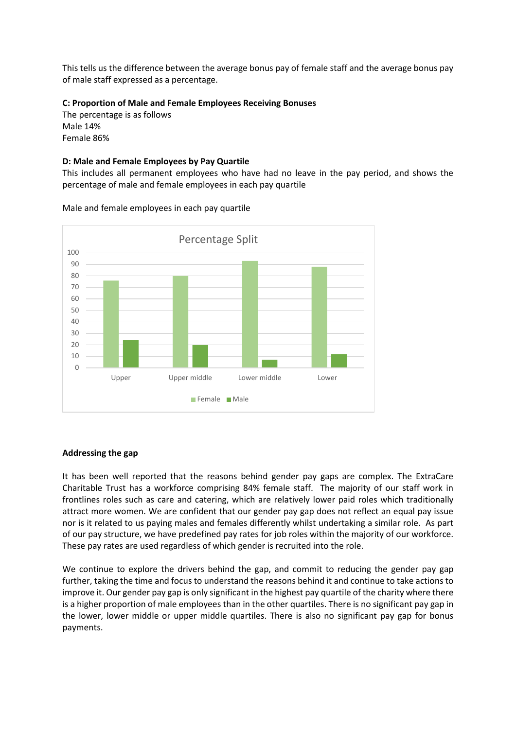This tells us the difference between the average bonus pay of female staff and the average bonus pay of male staff expressed as a percentage.

## **C: Proportion of Male and Female Employees Receiving Bonuses**

The percentage is as follows Male 14% Female 86%

### **D: Male and Female Employees by Pay Quartile**

This includes all permanent employees who have had no leave in the pay period, and shows the percentage of male and female employees in each pay quartile



Male and female employees in each pay quartile

# **Addressing the gap**

It has been well reported that the reasons behind gender pay gaps are complex. The ExtraCare Charitable Trust has a workforce comprising 84% female staff. The majority of our staff work in frontlines roles such as care and catering, which are relatively lower paid roles which traditionally attract more women. We are confident that our gender pay gap does not reflect an equal pay issue nor is it related to us paying males and females differently whilst undertaking a similar role. As part of our pay structure, we have predefined pay rates for job roles within the majority of our workforce. These pay rates are used regardless of which gender is recruited into the role.

We continue to explore the drivers behind the gap, and commit to reducing the gender pay gap further, taking the time and focus to understand the reasons behind it and continue to take actions to improve it. Our gender pay gap is only significant in the highest pay quartile of the charity where there is a higher proportion of male employees than in the other quartiles. There is no significant pay gap in the lower, lower middle or upper middle quartiles. There is also no significant pay gap for bonus payments.